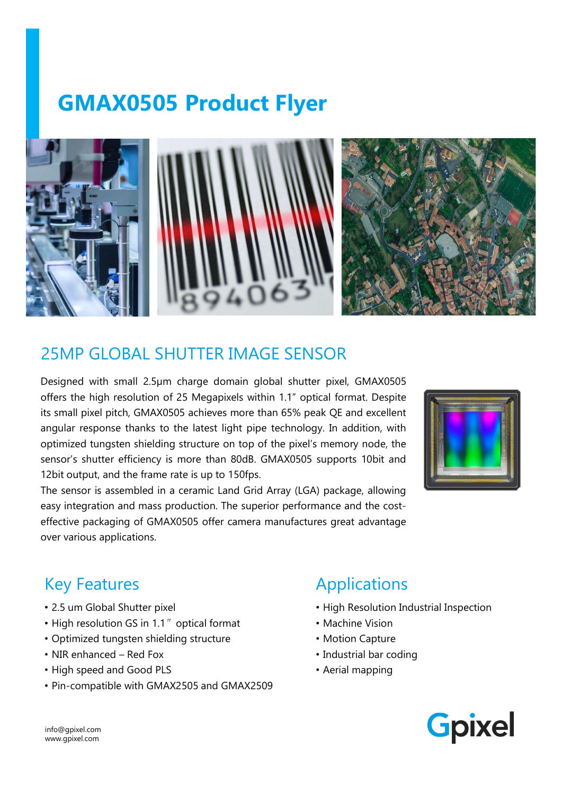# GMAX0505 Product Flyer<br>And MINITIAN MINITIAN







### 25MP GLOBAL SHUTTER IMAGE SENSOR

EXAMP GLOBAL SHUTTER IMAGE SENSOR<br>
Designed with small 2.5µm charge domain global shutter pixel, GMAX0505<br>
Offers the high resolution of 25 Megapixels within 1.1" optical format. Despite<br>
angular response than 65% peak and PENDERAL SHUTTER IMAGE SENSOR<br>
Designed with small 2.5µm charge domain global shutter pixel, GMAX0505<br>
Designed with small 2.5µm charge domain global shutter pixel, GMAX0505<br>
offers the high resolution of 25 Megapixels wit **EXERCISE AND CONSULTS IMAGE SENSOR**<br>
Designed with small 2.5µm charge domain global shutter pixel, GMAX0505<br>
Designed with small 2.5µm charge domain global shutter pixel, GMAX0505<br>
offers the high resolution of 25 Megapix SEND PRODUCES SENSOR<br>SENSOR DESIGNED AND TURN AND SERVED AND TURN AND SUGGERED CONSULTING THE NEW AND SUGGERED CONSULTING THE MANA<br>SUGGERENT AND THE MANAGE SENSOR<br>The small pixel pixel, GMAX0505 achieves more than 80% peak 25MP GLOBAL SHUTTER IMAGE SENSOR<br>
Designed with small 2.5µm charge domain global shutter pixel, GMAX0505<br>
Offers the high resolution of 25 Megapixels within 1.1" optical format. Despite<br>
tis small pixel pitch, GMAX0505 ach THE SENSOR<br>
THE SENSOR Designed with small 2.5µm charge domain global shutter pixel, GMAX0505<br>
offers the high resolution of 25 Megapixels within 1.1" optical format. Despite<br>
its small pixel pitch, GMAX0505 achieves more Easy integration and mass production. The superior performance and the cost-<br>easy integration of 25 Megapixels within 1.1" optical format. Despite<br>tis small pixel pitch, GMAX0505 achieves more than 65% peak QE and excellen Effective packaging of GMAX0505 offer camera manufactures great advantage<br>
Movement of the high resolution of 25 Megapiwels within 1.1" optical format. Despite<br>
offers the high resolution of 25 Megapiwels within 1.1" optic **EXERCISE SENSOR**<br> **EXERCISE SENSOR**<br>
Designed with small 2.5µm charge domain global shutter pixel, GMAX0505<br>
offers the high resolution of 25 Megapixels within 1.1" optical format. Despite<br>
its small pixel pitch, GMAX0505 Frame (Figure 1) and SMAXCOSOS achieves more than 65% peak QE and excellent<br>
Ingular response thanks to the latest light pipe technology. In addition, with<br>
primized ungesten shielding structure on top of the pixel's memor



myalar response thanks to the latest light pipe technology. In addition,<br>
primized tungsten shielding structure on top of the pixel's memory node<br>
ensor's shutter efficiency is more than 80dB. GMAX0505 supports 10bit<br>
2bit

### Key Features

- 2.5 um Global Shutter pixel
- High resolution GS in 1.1" optical format
- Optimized tungsten shielding structure
- 
- 
- Pin-compatible with GMAX2505 and GMAX2509

# Applications

- High Resolution Industrial Inspection
- Machine Vision
- Motion Capture
- Industrial bar coding
- Aerial mapping



info@gpixel.com www.gpixel.com